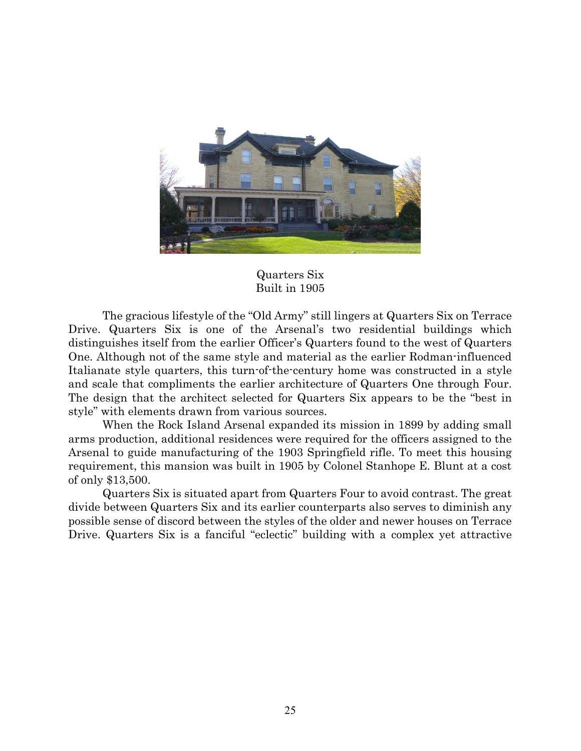

## Quarters Six Built in 1905

The gracious lifestyle of the "Old Army" still lingers at Quarters Six on Terrace Drive. Quarters Six is one of the Arsenal's two residential buildings which distinguishes itself from the earlier Officer's Quarters found to the west of Quarters One. Although not of the same style and material as the earlier Rodman-influenced Italianate style quarters, this turn-of-the-century home was constructed in a style and scale that compliments the earlier architecture of Quarters One through Four. The design that the architect selected for Quarters Six appears to be the "best in style" with elements drawn from various sources.

 When the Rock Island Arsenal expanded its mission in 1899 by adding small arms production, additional residences were required for the officers assigned to the Arsenal to guide manufacturing of the 1903 Springfield rifle. To meet this housing requirement, this mansion was built in 1905 by Colonel Stanhope E. Blunt at a cost of only \$13,500.

 Quarters Six is situated apart from Quarters Four to avoid contrast. The great divide between Quarters Six and its earlier counterparts also serves to diminish any possible sense of discord between the styles of the older and newer houses on Terrace Drive. Quarters Six is a fanciful "eclectic" building with a complex yet attractive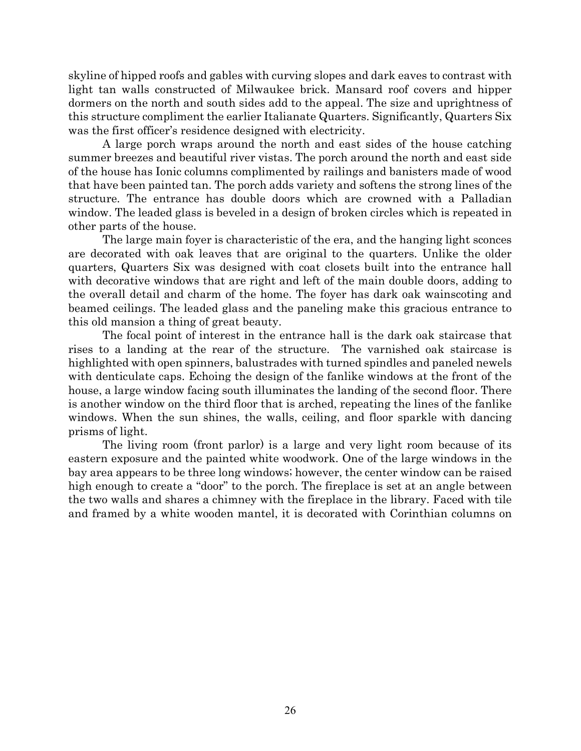skyline of hipped roofs and gables with curving slopes and dark eaves to contrast with light tan walls constructed of Milwaukee brick. Mansard roof covers and hipper dormers on the north and south sides add to the appeal. The size and uprightness of this structure compliment the earlier Italianate Quarters. Significantly, Quarters Six was the first officer's residence designed with electricity.

 A large porch wraps around the north and east sides of the house catching summer breezes and beautiful river vistas. The porch around the north and east side of the house has Ionic columns complimented by railings and banisters made of wood that have been painted tan. The porch adds variety and softens the strong lines of the structure. The entrance has double doors which are crowned with a Palladian window. The leaded glass is beveled in a design of broken circles which is repeated in other parts of the house.

 The large main foyer is characteristic of the era, and the hanging light sconces are decorated with oak leaves that are original to the quarters. Unlike the older quarters, Quarters Six was designed with coat closets built into the entrance hall with decorative windows that are right and left of the main double doors, adding to the overall detail and charm of the home. The foyer has dark oak wainscoting and beamed ceilings. The leaded glass and the paneling make this gracious entrance to this old mansion a thing of great beauty.

 The focal point of interest in the entrance hall is the dark oak staircase that rises to a landing at the rear of the structure. The varnished oak staircase is highlighted with open spinners, balustrades with turned spindles and paneled newels with denticulate caps. Echoing the design of the fanlike windows at the front of the house, a large window facing south illuminates the landing of the second floor. There is another window on the third floor that is arched, repeating the lines of the fanlike windows. When the sun shines, the walls, ceiling, and floor sparkle with dancing prisms of light.

 The living room (front parlor) is a large and very light room because of its eastern exposure and the painted white woodwork. One of the large windows in the bay area appears to be three long windows; however, the center window can be raised high enough to create a "door" to the porch. The fireplace is set at an angle between the two walls and shares a chimney with the fireplace in the library. Faced with tile and framed by a white wooden mantel, it is decorated with Corinthian columns on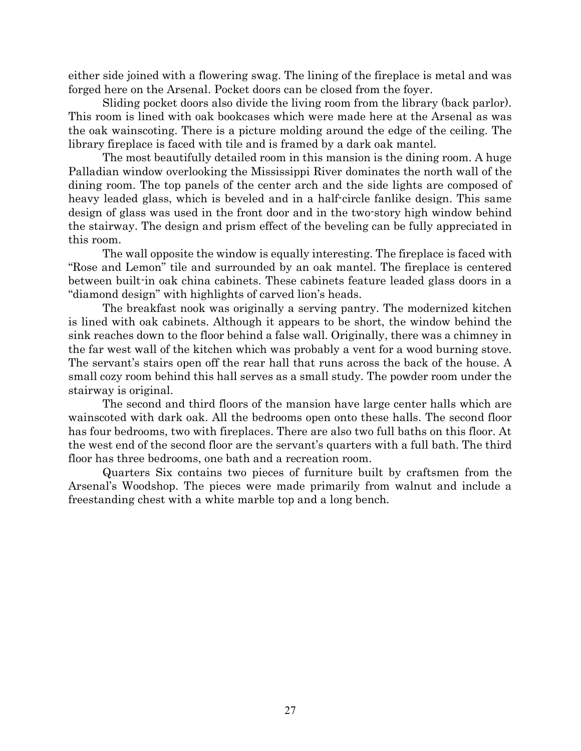either side joined with a flowering swag. The lining of the fireplace is metal and was forged here on the Arsenal. Pocket doors can be closed from the foyer.

 Sliding pocket doors also divide the living room from the library (back parlor). This room is lined with oak bookcases which were made here at the Arsenal as was the oak wainscoting. There is a picture molding around the edge of the ceiling. The library fireplace is faced with tile and is framed by a dark oak mantel.

 The most beautifully detailed room in this mansion is the dining room. A huge Palladian window overlooking the Mississippi River dominates the north wall of the dining room. The top panels of the center arch and the side lights are composed of heavy leaded glass, which is beveled and in a half-circle fanlike design. This same design of glass was used in the front door and in the two-story high window behind the stairway. The design and prism effect of the beveling can be fully appreciated in this room.

 The wall opposite the window is equally interesting. The fireplace is faced with "Rose and Lemon" tile and surrounded by an oak mantel. The fireplace is centered between built-in oak china cabinets. These cabinets feature leaded glass doors in a "diamond design" with highlights of carved lion's heads.

 The breakfast nook was originally a serving pantry. The modernized kitchen is lined with oak cabinets. Although it appears to be short, the window behind the sink reaches down to the floor behind a false wall. Originally, there was a chimney in the far west wall of the kitchen which was probably a vent for a wood burning stove. The servant's stairs open off the rear hall that runs across the back of the house. A small cozy room behind this hall serves as a small study. The powder room under the stairway is original.

 The second and third floors of the mansion have large center halls which are wainscoted with dark oak. All the bedrooms open onto these halls. The second floor has four bedrooms, two with fireplaces. There are also two full baths on this floor. At the west end of the second floor are the servant's quarters with a full bath. The third floor has three bedrooms, one bath and a recreation room.

 Quarters Six contains two pieces of furniture built by craftsmen from the Arsenal's Woodshop. The pieces were made primarily from walnut and include a freestanding chest with a white marble top and a long bench.